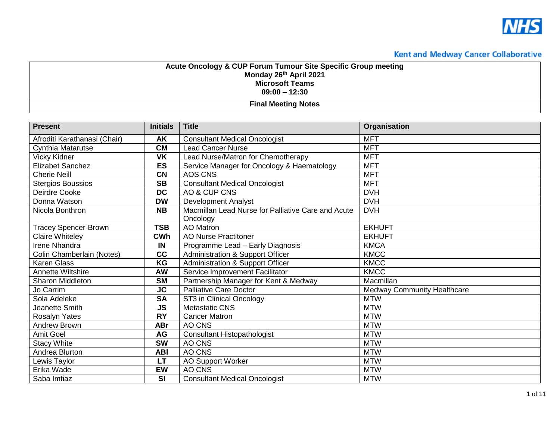

| Acute Oncology & CUP Forum Tumour Site Specific Group meeting |
|---------------------------------------------------------------|
| Monday 26th April 2021                                        |
| <b>Microsoft Teams</b>                                        |
| $09:00 - 12:30$                                               |
|                                                               |

**Final Meeting Notes** 

| <b>Present</b>               | <b>Initials</b> | <b>Title</b>                                       | Organisation                       |
|------------------------------|-----------------|----------------------------------------------------|------------------------------------|
| Afroditi Karathanasi (Chair) | <b>AK</b>       | <b>Consultant Medical Oncologist</b>               | <b>MFT</b>                         |
| <b>Cynthia Matarutse</b>     | <b>CM</b>       | Lead Cancer Nurse                                  | <b>MFT</b>                         |
| Vicky Kidner                 | <b>VK</b>       | Lead Nurse/Matron for Chemotherapy                 | <b>MFT</b>                         |
| <b>Elizabet Sanchez</b>      | <b>ES</b>       | Service Manager for Oncology & Haematology         | <b>MFT</b>                         |
| <b>Cherie Neill</b>          | <b>CN</b>       | AOS CNS                                            | <b>MFT</b>                         |
| <b>Stergios Boussios</b>     | <b>SB</b>       | <b>Consultant Medical Oncologist</b>               | <b>MFT</b>                         |
| Deirdre Cooke                | <b>DC</b>       | AO & CUP CNS                                       | <b>DVH</b>                         |
| Donna Watson                 | <b>DW</b>       | <b>Development Analyst</b>                         | <b>DVH</b>                         |
| Nicola Bonthron              | <b>NB</b>       | Macmillan Lead Nurse for Palliative Care and Acute | <b>DVH</b>                         |
|                              |                 | Oncology                                           |                                    |
| <b>Tracey Spencer-Brown</b>  | <b>TSB</b>      | <b>AO</b> Matron                                   | <b>EKHUFT</b>                      |
| <b>Claire Whiteley</b>       | <b>CWh</b>      | <b>AO Nurse Practitoner</b>                        | <b>EKHUFT</b>                      |
| Irene Nhandra                | IN              | Programme Lead - Early Diagnosis                   | <b>KMCA</b>                        |
| Colin Chamberlain (Notes)    | cc              | <b>Administration &amp; Support Officer</b>        | <b>KMCC</b>                        |
| <b>Karen Glass</b>           | KG              | <b>Administration &amp; Support Officer</b>        | <b>KMCC</b>                        |
| Annette Wiltshire            | <b>AW</b>       | Service Improvement Facilitator                    | <b>KMCC</b>                        |
| <b>Sharon Middleton</b>      | <b>SM</b>       | Partnership Manager for Kent & Medway              | Macmillan                          |
| Jo Carrim                    | <b>JC</b>       | <b>Palliative Care Doctor</b>                      | <b>Medway Community Healthcare</b> |
| Sola Adeleke                 | <b>SA</b>       | ST3 in Clinical Oncology                           | <b>MTW</b>                         |
| Jeanette Smith               | <b>JS</b>       | <b>Metastatic CNS</b>                              | <b>MTW</b>                         |
| Rosalyn Yates                | <b>RY</b>       | <b>Cancer Matron</b>                               | <b>MTW</b>                         |
| Andrew Brown                 | <b>ABr</b>      | AO CNS                                             | <b>MTW</b>                         |
| <b>Amit Goel</b>             | AG              | <b>Consultant Histopathologist</b>                 | <b>MTW</b>                         |
| <b>Stacy White</b>           | <b>SW</b>       | AO CNS                                             | <b>MTW</b>                         |
| Andrea Blurton               | <b>ABI</b>      | AO CNS                                             | <b>MTW</b>                         |
| Lewis Taylor                 | <b>LT</b>       | <b>AO Support Worker</b>                           | <b>MTW</b>                         |
| Erika Wade                   | <b>EW</b>       | AO CNS                                             | <b>MTW</b>                         |
| Saba Imtiaz                  | SI              | <b>Consultant Medical Oncologist</b>               | <b>MTW</b>                         |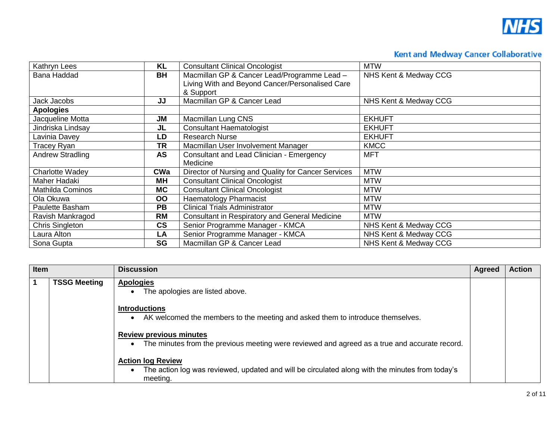

| Kathryn Lees            | <b>KL</b>                | <b>Consultant Clinical Oncologist</b>               | <b>MTW</b>            |
|-------------------------|--------------------------|-----------------------------------------------------|-----------------------|
| <b>Bana Haddad</b>      | <b>BH</b>                | Macmillan GP & Cancer Lead/Programme Lead -         | NHS Kent & Medway CCG |
|                         |                          | Living With and Beyond Cancer/Personalised Care     |                       |
|                         |                          | & Support                                           |                       |
| Jack Jacobs             | JJ                       | Macmillan GP & Cancer Lead                          | NHS Kent & Medway CCG |
| <b>Apologies</b>        |                          |                                                     |                       |
| Jacqueline Motta        | <b>JM</b>                | Macmillan Lung CNS                                  | <b>EKHUFT</b>         |
| Jindriska Lindsay       | JL                       | <b>Consultant Haematologist</b>                     | <b>EKHUFT</b>         |
| Lavinia Davey           | LD                       | Research Nurse                                      | <b>EKHUFT</b>         |
| Tracey Ryan             | TR                       | Macmillan User Involvement Manager                  | <b>KMCC</b>           |
| <b>Andrew Stradling</b> | <b>AS</b>                | Consultant and Lead Clinician - Emergency           | <b>MFT</b>            |
|                         |                          | Medicine                                            |                       |
| <b>Charlotte Wadey</b>  | <b>CWa</b>               | Director of Nursing and Quality for Cancer Services | <b>MTW</b>            |
| Maher Hadaki            | <b>MH</b>                | <b>Consultant Clinical Oncologist</b>               | <b>MTW</b>            |
| Mathilda Cominos        | <b>MC</b>                | <b>Consultant Clinical Oncologist</b>               | <b>MTW</b>            |
| Ola Okuwa               | OO                       | Haematology Pharmacist                              | <b>MTW</b>            |
| Paulette Basham         | <b>PB</b>                | Clinical Trials Administrator                       | <b>MTW</b>            |
| Ravish Mankragod        | <b>RM</b>                | Consultant in Respiratory and General Medicine      | <b>MTW</b>            |
| Chris Singleton         | $\mathsf{CS}\phantom{0}$ | Senior Programme Manager - KMCA                     | NHS Kent & Medway CCG |
| Laura Alton             | LA                       | Senior Programme Manager - KMCA                     | NHS Kent & Medway CCG |
| Sona Gupta              | SG                       | Macmillan GP & Cancer Lead                          | NHS Kent & Medway CCG |

| Item        |                     | <b>Discussion</b>                                                                                                                       | <b>Agreed</b> | <b>Action</b> |
|-------------|---------------------|-----------------------------------------------------------------------------------------------------------------------------------------|---------------|---------------|
| $\mathbf 1$ | <b>TSSG Meeting</b> | <b>Apologies</b><br>The apologies are listed above.                                                                                     |               |               |
|             |                     | <b>Introductions</b><br>AK welcomed the members to the meeting and asked them to introduce themselves.                                  |               |               |
|             |                     | <b>Review previous minutes</b><br>The minutes from the previous meeting were reviewed and agreed as a true and accurate record.         |               |               |
|             |                     | <b>Action log Review</b><br>The action log was reviewed, updated and will be circulated along with the minutes from today's<br>meeting. |               |               |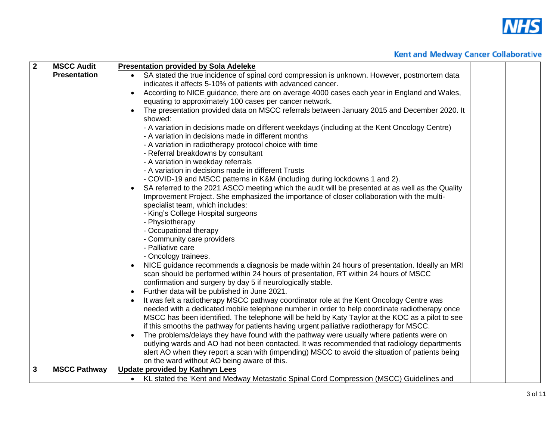

| $\overline{2}$ | <b>MSCC Audit</b>   | <b>Presentation provided by Sola Adeleke</b>                                                                                                         |
|----------------|---------------------|------------------------------------------------------------------------------------------------------------------------------------------------------|
|                | <b>Presentation</b> | SA stated the true incidence of spinal cord compression is unknown. However, postmortem data                                                         |
|                |                     | indicates it affects 5-10% of patients with advanced cancer.                                                                                         |
|                |                     | According to NICE guidance, there are on average 4000 cases each year in England and Wales,                                                          |
|                |                     | equating to approximately 100 cases per cancer network.                                                                                              |
|                |                     | The presentation provided data on MSCC referrals between January 2015 and December 2020. It<br>showed:                                               |
|                |                     | - A variation in decisions made on different weekdays (including at the Kent Oncology Centre)<br>- A variation in decisions made in different months |
|                |                     | - A variation in radiotherapy protocol choice with time                                                                                              |
|                |                     | - Referral breakdowns by consultant                                                                                                                  |
|                |                     | - A variation in weekday referrals                                                                                                                   |
|                |                     | - A variation in decisions made in different Trusts                                                                                                  |
|                |                     | - COVID-19 and MSCC patterns in K&M (including during lockdowns 1 and 2).                                                                            |
|                |                     | SA referred to the 2021 ASCO meeting which the audit will be presented at as well as the Quality                                                     |
|                |                     | Improvement Project. She emphasized the importance of closer collaboration with the multi-                                                           |
|                |                     | specialist team, which includes:                                                                                                                     |
|                |                     | - King's College Hospital surgeons                                                                                                                   |
|                |                     | - Physiotherapy<br>- Occupational therapy                                                                                                            |
|                |                     | - Community care providers                                                                                                                           |
|                |                     | - Palliative care                                                                                                                                    |
|                |                     | - Oncology trainees.                                                                                                                                 |
|                |                     | NICE guidance recommends a diagnosis be made within 24 hours of presentation. Ideally an MRI                                                         |
|                |                     | scan should be performed within 24 hours of presentation, RT within 24 hours of MSCC<br>confirmation and surgery by day 5 if neurologically stable.  |
|                |                     | Further data will be published in June 2021.                                                                                                         |
|                |                     | It was felt a radiotherapy MSCC pathway coordinator role at the Kent Oncology Centre was                                                             |
|                |                     | needed with a dedicated mobile telephone number in order to help coordinate radiotherapy once                                                        |
|                |                     | MSCC has been identified. The telephone will be held by Katy Taylor at the KOC as a pilot to see                                                     |
|                |                     | if this smooths the pathway for patients having urgent palliative radiotherapy for MSCC.                                                             |
|                |                     | The problems/delays they have found with the pathway were usually where patients were on                                                             |
|                |                     | outlying wards and AO had not been contacted. It was recommended that radiology departments                                                          |
|                |                     | alert AO when they report a scan with (impending) MSCC to avoid the situation of patients being                                                      |
|                |                     | on the ward without AO being aware of this.                                                                                                          |
| 3              | <b>MSCC Pathway</b> | <b>Update provided by Kathryn Lees</b>                                                                                                               |
|                |                     | • KL stated the 'Kent and Medway Metastatic Spinal Cord Compression (MSCC) Guidelines and                                                            |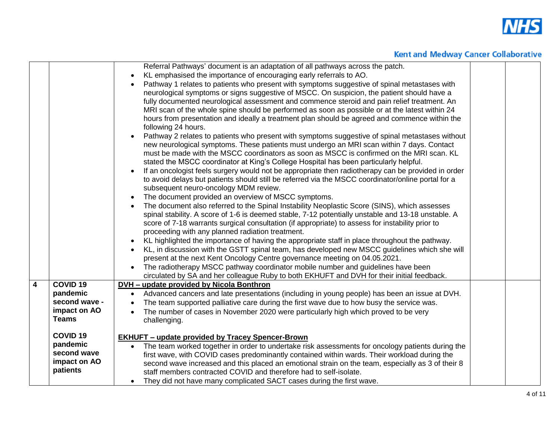

|   |                               | Referral Pathways' document is an adaptation of all pathways across the patch.<br>KL emphasised the importance of encouraging early referrals to AO.<br>Pathway 1 relates to patients who present with symptoms suggestive of spinal metastases with<br>neurological symptoms or signs suggestive of MSCC. On suspicion, the patient should have a<br>fully documented neurological assessment and commence steroid and pain relief treatment. An<br>MRI scan of the whole spine should be performed as soon as possible or at the latest within 24<br>hours from presentation and ideally a treatment plan should be agreed and commence within the<br>following 24 hours.<br>Pathway 2 relates to patients who present with symptoms suggestive of spinal metastases without<br>new neurological symptoms. These patients must undergo an MRI scan within 7 days. Contact<br>must be made with the MSCC coordinators as soon as MSCC is confirmed on the MRI scan. KL<br>stated the MSCC coordinator at King's College Hospital has been particularly helpful.<br>If an oncologist feels surgery would not be appropriate then radiotherapy can be provided in order<br>to avoid delays but patients should still be referred via the MSCC coordinator/online portal for a<br>subsequent neuro-oncology MDM review.<br>The document provided an overview of MSCC symptoms.<br>The document also referred to the Spinal Instability Neoplastic Score (SINS), which assesses<br>spinal stability. A score of 1-6 is deemed stable, 7-12 potentially unstable and 13-18 unstable. A<br>score of 7-18 warrants surgical consultation (if appropriate) to assess for instability prior to<br>proceeding with any planned radiation treatment.<br>KL highlighted the importance of having the appropriate staff in place throughout the pathway.<br>KL, in discussion with the GSTT spinal team, has developed new MSCC guidelines which she will<br>present at the next Kent Oncology Centre governance meeting on 04.05.2021.<br>The radiotherapy MSCC pathway coordinator mobile number and guidelines have been<br>circulated by SA and her colleague Ruby to both EKHUFT and DVH for their initial feedback. |  |
|---|-------------------------------|---------------------------------------------------------------------------------------------------------------------------------------------------------------------------------------------------------------------------------------------------------------------------------------------------------------------------------------------------------------------------------------------------------------------------------------------------------------------------------------------------------------------------------------------------------------------------------------------------------------------------------------------------------------------------------------------------------------------------------------------------------------------------------------------------------------------------------------------------------------------------------------------------------------------------------------------------------------------------------------------------------------------------------------------------------------------------------------------------------------------------------------------------------------------------------------------------------------------------------------------------------------------------------------------------------------------------------------------------------------------------------------------------------------------------------------------------------------------------------------------------------------------------------------------------------------------------------------------------------------------------------------------------------------------------------------------------------------------------------------------------------------------------------------------------------------------------------------------------------------------------------------------------------------------------------------------------------------------------------------------------------------------------------------------------------------------------------------------------------------------------------------------------------------------------------------------------------------|--|
| 4 | COVID <sub>19</sub>           | <b>DVH - update provided by Nicola Bonthron</b>                                                                                                                                                                                                                                                                                                                                                                                                                                                                                                                                                                                                                                                                                                                                                                                                                                                                                                                                                                                                                                                                                                                                                                                                                                                                                                                                                                                                                                                                                                                                                                                                                                                                                                                                                                                                                                                                                                                                                                                                                                                                                                                                                               |  |
|   | pandemic                      | Advanced cancers and late presentations (including in young people) has been an issue at DVH.<br>$\bullet$                                                                                                                                                                                                                                                                                                                                                                                                                                                                                                                                                                                                                                                                                                                                                                                                                                                                                                                                                                                                                                                                                                                                                                                                                                                                                                                                                                                                                                                                                                                                                                                                                                                                                                                                                                                                                                                                                                                                                                                                                                                                                                    |  |
|   | second wave -<br>impact on AO | The team supported palliative care during the first wave due to how busy the service was.                                                                                                                                                                                                                                                                                                                                                                                                                                                                                                                                                                                                                                                                                                                                                                                                                                                                                                                                                                                                                                                                                                                                                                                                                                                                                                                                                                                                                                                                                                                                                                                                                                                                                                                                                                                                                                                                                                                                                                                                                                                                                                                     |  |
|   | <b>Teams</b>                  | The number of cases in November 2020 were particularly high which proved to be very<br>challenging.                                                                                                                                                                                                                                                                                                                                                                                                                                                                                                                                                                                                                                                                                                                                                                                                                                                                                                                                                                                                                                                                                                                                                                                                                                                                                                                                                                                                                                                                                                                                                                                                                                                                                                                                                                                                                                                                                                                                                                                                                                                                                                           |  |
|   |                               |                                                                                                                                                                                                                                                                                                                                                                                                                                                                                                                                                                                                                                                                                                                                                                                                                                                                                                                                                                                                                                                                                                                                                                                                                                                                                                                                                                                                                                                                                                                                                                                                                                                                                                                                                                                                                                                                                                                                                                                                                                                                                                                                                                                                               |  |
|   | <b>COVID 19</b>               | <b>EKHUFT - update provided by Tracey Spencer-Brown</b>                                                                                                                                                                                                                                                                                                                                                                                                                                                                                                                                                                                                                                                                                                                                                                                                                                                                                                                                                                                                                                                                                                                                                                                                                                                                                                                                                                                                                                                                                                                                                                                                                                                                                                                                                                                                                                                                                                                                                                                                                                                                                                                                                       |  |
|   | pandemic                      | The team worked together in order to undertake risk assessments for oncology patients during the<br>$\bullet$                                                                                                                                                                                                                                                                                                                                                                                                                                                                                                                                                                                                                                                                                                                                                                                                                                                                                                                                                                                                                                                                                                                                                                                                                                                                                                                                                                                                                                                                                                                                                                                                                                                                                                                                                                                                                                                                                                                                                                                                                                                                                                 |  |
|   | second wave                   | first wave, with COVID cases predominantly contained within wards. Their workload during the                                                                                                                                                                                                                                                                                                                                                                                                                                                                                                                                                                                                                                                                                                                                                                                                                                                                                                                                                                                                                                                                                                                                                                                                                                                                                                                                                                                                                                                                                                                                                                                                                                                                                                                                                                                                                                                                                                                                                                                                                                                                                                                  |  |
|   | impact on AO<br>patients      | second wave increased and this placed an emotional strain on the team, especially as 3 of their 8                                                                                                                                                                                                                                                                                                                                                                                                                                                                                                                                                                                                                                                                                                                                                                                                                                                                                                                                                                                                                                                                                                                                                                                                                                                                                                                                                                                                                                                                                                                                                                                                                                                                                                                                                                                                                                                                                                                                                                                                                                                                                                             |  |
|   |                               | staff members contracted COVID and therefore had to self-isolate.                                                                                                                                                                                                                                                                                                                                                                                                                                                                                                                                                                                                                                                                                                                                                                                                                                                                                                                                                                                                                                                                                                                                                                                                                                                                                                                                                                                                                                                                                                                                                                                                                                                                                                                                                                                                                                                                                                                                                                                                                                                                                                                                             |  |
|   |                               | They did not have many complicated SACT cases during the first wave.<br>$\bullet$                                                                                                                                                                                                                                                                                                                                                                                                                                                                                                                                                                                                                                                                                                                                                                                                                                                                                                                                                                                                                                                                                                                                                                                                                                                                                                                                                                                                                                                                                                                                                                                                                                                                                                                                                                                                                                                                                                                                                                                                                                                                                                                             |  |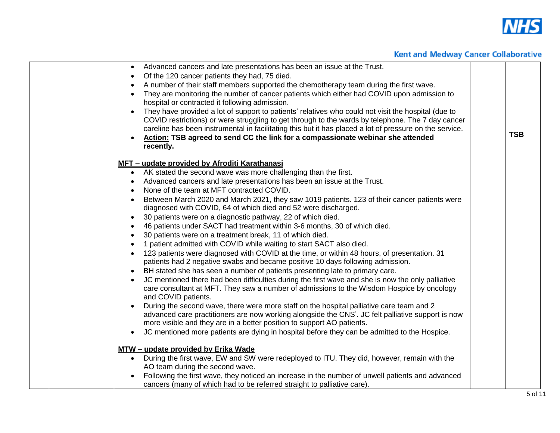

| • Advanced cancers and late presentations has been an issue at the Trust.                                                                                                                      |            |
|------------------------------------------------------------------------------------------------------------------------------------------------------------------------------------------------|------------|
| Of the 120 cancer patients they had, 75 died.<br>$\bullet$                                                                                                                                     |            |
| A number of their staff members supported the chemotherapy team during the first wave.                                                                                                         |            |
| They are monitoring the number of cancer patients which either had COVID upon admission to<br>$\bullet$                                                                                        |            |
| hospital or contracted it following admission.                                                                                                                                                 |            |
| They have provided a lot of support to patients' relatives who could not visit the hospital (due to                                                                                            |            |
| COVID restrictions) or were struggling to get through to the wards by telephone. The 7 day cancer                                                                                              |            |
| careline has been instrumental in facilitating this but it has placed a lot of pressure on the service.                                                                                        | <b>TSB</b> |
| Action: TSB agreed to send CC the link for a compassionate webinar she attended<br>recently.                                                                                                   |            |
|                                                                                                                                                                                                |            |
| MFT - update provided by Afroditi Karathanasi                                                                                                                                                  |            |
| • AK stated the second wave was more challenging than the first.                                                                                                                               |            |
| Advanced cancers and late presentations has been an issue at the Trust.                                                                                                                        |            |
| None of the team at MFT contracted COVID.                                                                                                                                                      |            |
| Between March 2020 and March 2021, they saw 1019 patients. 123 of their cancer patients were                                                                                                   |            |
| diagnosed with COVID, 64 of which died and 52 were discharged.                                                                                                                                 |            |
| 30 patients were on a diagnostic pathway, 22 of which died.<br>$\bullet$                                                                                                                       |            |
| 46 patients under SACT had treatment within 3-6 months, 30 of which died.<br>$\bullet$                                                                                                         |            |
| 30 patients were on a treatment break, 11 of which died.                                                                                                                                       |            |
| 1 patient admitted with COVID while waiting to start SACT also died.                                                                                                                           |            |
| 123 patients were diagnosed with COVID at the time, or within 48 hours, of presentation. 31                                                                                                    |            |
| patients had 2 negative swabs and became positive 10 days following admission.                                                                                                                 |            |
| BH stated she has seen a number of patients presenting late to primary care.                                                                                                                   |            |
| JC mentioned there had been difficulties during the first wave and she is now the only palliative<br>care consultant at MFT. They saw a number of admissions to the Wisdom Hospice by oncology |            |
| and COVID patients.                                                                                                                                                                            |            |
| During the second wave, there were more staff on the hospital palliative care team and 2                                                                                                       |            |
| advanced care practitioners are now working alongside the CNS'. JC felt palliative support is now                                                                                              |            |
| more visible and they are in a better position to support AO patients.                                                                                                                         |            |
| JC mentioned more patients are dying in hospital before they can be admitted to the Hospice.                                                                                                   |            |
|                                                                                                                                                                                                |            |
| MTW - update provided by Erika Wade                                                                                                                                                            |            |
| • During the first wave, EW and SW were redeployed to ITU. They did, however, remain with the                                                                                                  |            |
| AO team during the second wave.                                                                                                                                                                |            |
| Following the first wave, they noticed an increase in the number of unwell patients and advanced                                                                                               |            |
| cancers (many of which had to be referred straight to palliative care).                                                                                                                        |            |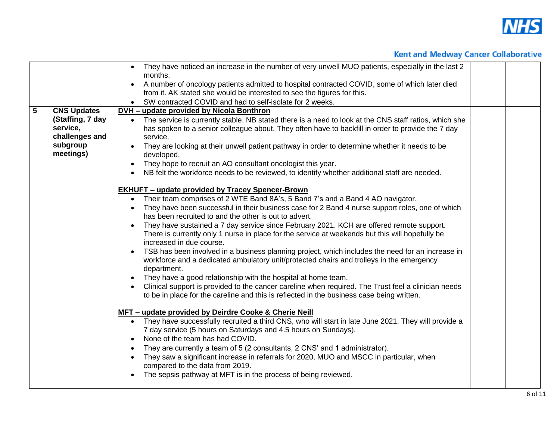

|                |                       | They have noticed an increase in the number of very unwell MUO patients, especially in the last 2<br>$\bullet$<br>months.   |  |
|----------------|-----------------------|-----------------------------------------------------------------------------------------------------------------------------|--|
|                |                       | A number of oncology patients admitted to hospital contracted COVID, some of which later died<br>$\bullet$                  |  |
|                |                       | from it. AK stated she would be interested to see the figures for this.                                                     |  |
|                |                       | SW contracted COVID and had to self-isolate for 2 weeks.                                                                    |  |
| $\overline{5}$ | <b>CNS Updates</b>    | <b>DVH - update provided by Nicola Bonthron</b>                                                                             |  |
|                | (Staffing, 7 day      | The service is currently stable. NB stated there is a need to look at the CNS staff ratios, which she<br>$\bullet$          |  |
|                | service,              | has spoken to a senior colleague about. They often have to backfill in order to provide the 7 day                           |  |
|                | challenges and        | service.                                                                                                                    |  |
|                | subgroup<br>meetings) | They are looking at their unwell patient pathway in order to determine whether it needs to be<br>developed.                 |  |
|                |                       | They hope to recruit an AO consultant oncologist this year.<br>$\bullet$                                                    |  |
|                |                       | NB felt the workforce needs to be reviewed, to identify whether additional staff are needed.<br>$\bullet$                   |  |
|                |                       | <b>EKHUFT - update provided by Tracey Spencer-Brown</b>                                                                     |  |
|                |                       | • Their team comprises of 2 WTE Band 8A's, 5 Band 7's and a Band 4 AO navigator.                                            |  |
|                |                       | They have been successful in their business case for 2 Band 4 nurse support roles, one of which                             |  |
|                |                       | has been recruited to and the other is out to advert.                                                                       |  |
|                |                       | They have sustained a 7 day service since February 2021. KCH are offered remote support.                                    |  |
|                |                       | There is currently only 1 nurse in place for the service at weekends but this will hopefully be<br>increased in due course. |  |
|                |                       | TSB has been involved in a business planning project, which includes the need for an increase in                            |  |
|                |                       | workforce and a dedicated ambulatory unit/protected chairs and trolleys in the emergency<br>department.                     |  |
|                |                       | They have a good relationship with the hospital at home team.                                                               |  |
|                |                       | Clinical support is provided to the cancer careline when required. The Trust feel a clinician needs                         |  |
|                |                       | to be in place for the careline and this is reflected in the business case being written.                                   |  |
|                |                       | MFT - update provided by Deirdre Cooke & Cherie Neill                                                                       |  |
|                |                       | • They have successfully recruited a third CNS, who will start in late June 2021. They will provide a                       |  |
|                |                       | 7 day service (5 hours on Saturdays and 4.5 hours on Sundays).                                                              |  |
|                |                       | None of the team has had COVID.                                                                                             |  |
|                |                       | They are currently a team of 5 (2 consultants, 2 CNS' and 1 administrator).                                                 |  |
|                |                       | They saw a significant increase in referrals for 2020, MUO and MSCC in particular, when                                     |  |
|                |                       | compared to the data from 2019.                                                                                             |  |
|                |                       | The sepsis pathway at MFT is in the process of being reviewed.                                                              |  |
|                |                       |                                                                                                                             |  |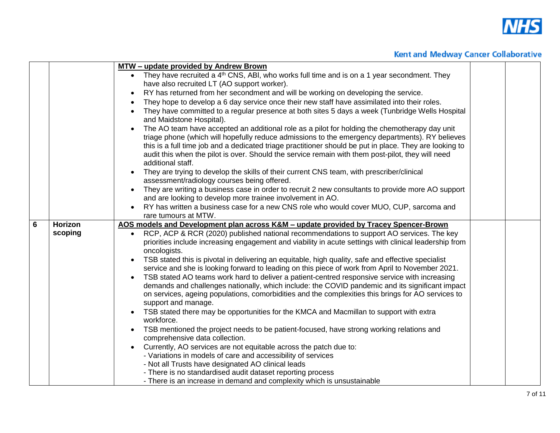

|   |         | MTW - update provided by Andrew Brown                                                                                                                                                                                                                                                                                                                                                                                                                                                                                                                                                                                                                                                                                                                                                                                                                                                                                                                                                                                                                                                                                                                                                                                    |  |
|---|---------|--------------------------------------------------------------------------------------------------------------------------------------------------------------------------------------------------------------------------------------------------------------------------------------------------------------------------------------------------------------------------------------------------------------------------------------------------------------------------------------------------------------------------------------------------------------------------------------------------------------------------------------------------------------------------------------------------------------------------------------------------------------------------------------------------------------------------------------------------------------------------------------------------------------------------------------------------------------------------------------------------------------------------------------------------------------------------------------------------------------------------------------------------------------------------------------------------------------------------|--|
|   |         | They have recruited a 4 <sup>th</sup> CNS, ABI, who works full time and is on a 1 year secondment. They                                                                                                                                                                                                                                                                                                                                                                                                                                                                                                                                                                                                                                                                                                                                                                                                                                                                                                                                                                                                                                                                                                                  |  |
|   |         | have also recruited LT (AO support worker).                                                                                                                                                                                                                                                                                                                                                                                                                                                                                                                                                                                                                                                                                                                                                                                                                                                                                                                                                                                                                                                                                                                                                                              |  |
|   |         | RY has returned from her secondment and will be working on developing the service.                                                                                                                                                                                                                                                                                                                                                                                                                                                                                                                                                                                                                                                                                                                                                                                                                                                                                                                                                                                                                                                                                                                                       |  |
|   |         | They hope to develop a 6 day service once their new staff have assimilated into their roles.                                                                                                                                                                                                                                                                                                                                                                                                                                                                                                                                                                                                                                                                                                                                                                                                                                                                                                                                                                                                                                                                                                                             |  |
|   |         | They have committed to a regular presence at both sites 5 days a week (Tunbridge Wells Hospital<br>and Maidstone Hospital).                                                                                                                                                                                                                                                                                                                                                                                                                                                                                                                                                                                                                                                                                                                                                                                                                                                                                                                                                                                                                                                                                              |  |
|   |         | The AO team have accepted an additional role as a pilot for holding the chemotherapy day unit<br>triage phone (which will hopefully reduce admissions to the emergency departments). RY believes<br>this is a full time job and a dedicated triage practitioner should be put in place. They are looking to<br>audit this when the pilot is over. Should the service remain with them post-pilot, they will need<br>additional staff.<br>They are trying to develop the skills of their current CNS team, with prescriber/clinical                                                                                                                                                                                                                                                                                                                                                                                                                                                                                                                                                                                                                                                                                       |  |
|   |         | assessment/radiology courses being offered.                                                                                                                                                                                                                                                                                                                                                                                                                                                                                                                                                                                                                                                                                                                                                                                                                                                                                                                                                                                                                                                                                                                                                                              |  |
|   |         | They are writing a business case in order to recruit 2 new consultants to provide more AO support                                                                                                                                                                                                                                                                                                                                                                                                                                                                                                                                                                                                                                                                                                                                                                                                                                                                                                                                                                                                                                                                                                                        |  |
|   |         | and are looking to develop more trainee involvement in AO.                                                                                                                                                                                                                                                                                                                                                                                                                                                                                                                                                                                                                                                                                                                                                                                                                                                                                                                                                                                                                                                                                                                                                               |  |
|   |         | RY has written a business case for a new CNS role who would cover MUO, CUP, sarcoma and<br>rare tumours at MTW.                                                                                                                                                                                                                                                                                                                                                                                                                                                                                                                                                                                                                                                                                                                                                                                                                                                                                                                                                                                                                                                                                                          |  |
| 6 | Horizon | AOS models and Development plan across K&M - update provided by Tracey Spencer-Brown                                                                                                                                                                                                                                                                                                                                                                                                                                                                                                                                                                                                                                                                                                                                                                                                                                                                                                                                                                                                                                                                                                                                     |  |
|   | scoping | RCP, ACP & RCR (2020) published national recommendations to support AO services. The key<br>$\bullet$<br>priorities include increasing engagement and viability in acute settings with clinical leadership from<br>oncologists.<br>TSB stated this is pivotal in delivering an equitable, high quality, safe and effective specialist<br>service and she is looking forward to leading on this piece of work from April to November 2021.<br>TSB stated AO teams work hard to deliver a patient-centred responsive service with increasing<br>$\bullet$<br>demands and challenges nationally, which include: the COVID pandemic and its significant impact<br>on services, ageing populations, comorbidities and the complexities this brings for AO services to<br>support and manage.<br>TSB stated there may be opportunities for the KMCA and Macmillan to support with extra<br>workforce.<br>TSB mentioned the project needs to be patient-focused, have strong working relations and<br>comprehensive data collection.<br>Currently, AO services are not equitable across the patch due to:<br>- Variations in models of care and accessibility of services<br>- Not all Trusts have designated AO clinical leads |  |
|   |         | - There is no standardised audit dataset reporting process<br>- There is an increase in demand and complexity which is unsustainable                                                                                                                                                                                                                                                                                                                                                                                                                                                                                                                                                                                                                                                                                                                                                                                                                                                                                                                                                                                                                                                                                     |  |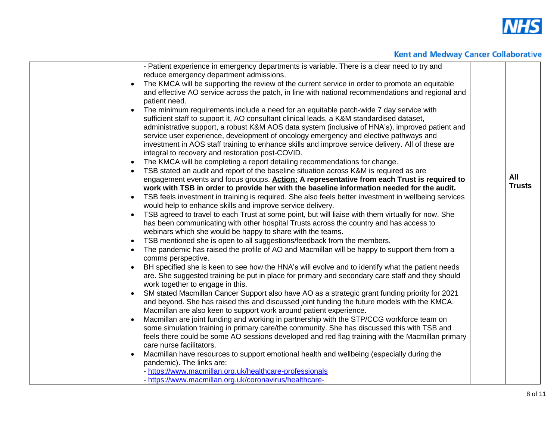

| - Patient experience in emergency departments is variable. There is a clear need to try and<br>reduce emergency department admissions.<br>The KMCA will be supporting the review of the current service in order to promote an equitable<br>and effective AO service across the patch, in line with national recommendations and regional and<br>patient need.<br>The minimum requirements include a need for an equitable patch-wide 7 day service with<br>sufficient staff to support it, AO consultant clinical leads, a K&M standardised dataset,<br>administrative support, a robust K&M AOS data system (inclusive of HNA's), improved patient and<br>service user experience, development of oncology emergency and elective pathways and<br>investment in AOS staff training to enhance skills and improve service delivery. All of these are<br>integral to recovery and restoration post-COVID.<br>The KMCA will be completing a report detailing recommendations for change.<br>TSB stated an audit and report of the baseline situation across K&M is required as are<br>engagement events and focus groups. Action: A representative from each Trust is required to<br>work with TSB in order to provide her with the baseline information needed for the audit.<br>TSB feels investment in training is required. She also feels better investment in wellbeing services<br>would help to enhance skills and improve service delivery.<br>TSB agreed to travel to each Trust at some point, but will liaise with them virtually for now. She<br>$\bullet$<br>has been communicating with other hospital Trusts across the country and has access to<br>webinars which she would be happy to share with the teams.<br>TSB mentioned she is open to all suggestions/feedback from the members.<br>The pandemic has raised the profile of AO and Macmillan will be happy to support them from a<br>comms perspective.<br>BH specified she is keen to see how the HNA's will evolve and to identify what the patient needs<br>are. She suggested training be put in place for primary and secondary care staff and they should<br>work together to engage in this.<br>SM stated Macmillan Cancer Support also have AO as a strategic grant funding priority for 2021<br>and beyond. She has raised this and discussed joint funding the future models with the KMCA.<br>Macmillan are also keen to support work around patient experience.<br>Macmillan are joint funding and working in partnership with the STP/CCG workforce team on<br>some simulation training in primary care/the community. She has discussed this with TSB and<br>feels there could be some AO sessions developed and red flag training with the Macmillan primary<br>care nurse facilitators.<br>Macmillan have resources to support emotional health and wellbeing (especially during the<br>pandemic). The links are:<br>- https://www.macmillan.org.uk/healthcare-professionals | All<br><b>Trusts</b> |
|----------------------------------------------------------------------------------------------------------------------------------------------------------------------------------------------------------------------------------------------------------------------------------------------------------------------------------------------------------------------------------------------------------------------------------------------------------------------------------------------------------------------------------------------------------------------------------------------------------------------------------------------------------------------------------------------------------------------------------------------------------------------------------------------------------------------------------------------------------------------------------------------------------------------------------------------------------------------------------------------------------------------------------------------------------------------------------------------------------------------------------------------------------------------------------------------------------------------------------------------------------------------------------------------------------------------------------------------------------------------------------------------------------------------------------------------------------------------------------------------------------------------------------------------------------------------------------------------------------------------------------------------------------------------------------------------------------------------------------------------------------------------------------------------------------------------------------------------------------------------------------------------------------------------------------------------------------------------------------------------------------------------------------------------------------------------------------------------------------------------------------------------------------------------------------------------------------------------------------------------------------------------------------------------------------------------------------------------------------------------------------------------------------------------------------------------------------------------------------------------------------------------------------------------------------------------------------------------------------------------------------------------------------------------------------------------------------------------------------------------------------------------------------------------------------------------------------------------------------------------------------------------------------------------------------------------------------------------|----------------------|
| - https://www.macmillan.org.uk/coronavirus/healthcare-                                                                                                                                                                                                                                                                                                                                                                                                                                                                                                                                                                                                                                                                                                                                                                                                                                                                                                                                                                                                                                                                                                                                                                                                                                                                                                                                                                                                                                                                                                                                                                                                                                                                                                                                                                                                                                                                                                                                                                                                                                                                                                                                                                                                                                                                                                                                                                                                                                                                                                                                                                                                                                                                                                                                                                                                                                                                                                               |                      |
|                                                                                                                                                                                                                                                                                                                                                                                                                                                                                                                                                                                                                                                                                                                                                                                                                                                                                                                                                                                                                                                                                                                                                                                                                                                                                                                                                                                                                                                                                                                                                                                                                                                                                                                                                                                                                                                                                                                                                                                                                                                                                                                                                                                                                                                                                                                                                                                                                                                                                                                                                                                                                                                                                                                                                                                                                                                                                                                                                                      |                      |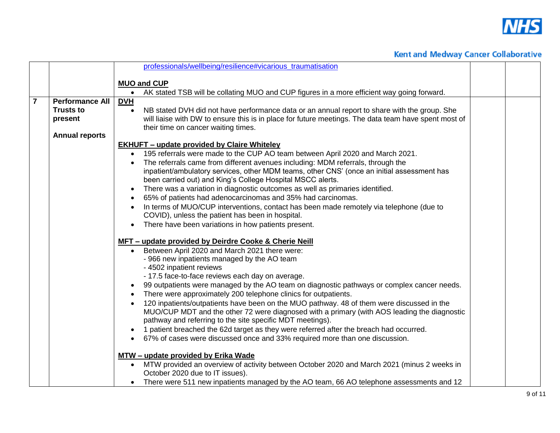

|                |                        | professionals/wellbeing/resilience#vicarious traumatisation                                                                                                                              |  |
|----------------|------------------------|------------------------------------------------------------------------------------------------------------------------------------------------------------------------------------------|--|
|                |                        |                                                                                                                                                                                          |  |
|                |                        | <b>MUO and CUP</b><br>AK stated TSB will be collating MUO and CUP figures in a more efficient way going forward.<br>$\bullet$                                                            |  |
| $\overline{7}$ | <b>Performance All</b> | <b>DVH</b>                                                                                                                                                                               |  |
|                | <b>Trusts to</b>       | NB stated DVH did not have performance data or an annual report to share with the group. She<br>$\bullet$                                                                                |  |
|                | present                | will liaise with DW to ensure this is in place for future meetings. The data team have spent most of                                                                                     |  |
|                |                        | their time on cancer waiting times.                                                                                                                                                      |  |
|                | <b>Annual reports</b>  |                                                                                                                                                                                          |  |
|                |                        | <b>EKHUFT - update provided by Claire Whiteley</b>                                                                                                                                       |  |
|                |                        | 195 referrals were made to the CUP AO team between April 2020 and March 2021.                                                                                                            |  |
|                |                        | The referrals came from different avenues including: MDM referrals, through the<br>inpatient/ambulatory services, other MDM teams, other CNS' (once an initial assessment has            |  |
|                |                        | been carried out) and King's College Hospital MSCC alerts.                                                                                                                               |  |
|                |                        | There was a variation in diagnostic outcomes as well as primaries identified.                                                                                                            |  |
|                |                        | 65% of patients had adenocarcinomas and 35% had carcinomas.                                                                                                                              |  |
|                |                        | In terms of MUO/CUP interventions, contact has been made remotely via telephone (due to                                                                                                  |  |
|                |                        | COVID), unless the patient has been in hospital.                                                                                                                                         |  |
|                |                        | There have been variations in how patients present.<br>$\bullet$                                                                                                                         |  |
|                |                        | MFT - update provided by Deirdre Cooke & Cherie Neill                                                                                                                                    |  |
|                |                        | Between April 2020 and March 2021 there were:<br>$\bullet$                                                                                                                               |  |
|                |                        | - 966 new inpatients managed by the AO team                                                                                                                                              |  |
|                |                        | - 4502 inpatient reviews                                                                                                                                                                 |  |
|                |                        | - 17.5 face-to-face reviews each day on average.                                                                                                                                         |  |
|                |                        | 99 outpatients were managed by the AO team on diagnostic pathways or complex cancer needs.                                                                                               |  |
|                |                        | There were approximately 200 telephone clinics for outpatients.                                                                                                                          |  |
|                |                        | 120 inpatients/outpatients have been on the MUO pathway. 48 of them were discussed in the<br>MUO/CUP MDT and the other 72 were diagnosed with a primary (with AOS leading the diagnostic |  |
|                |                        | pathway and referring to the site specific MDT meetings).                                                                                                                                |  |
|                |                        | 1 patient breached the 62d target as they were referred after the breach had occurred.                                                                                                   |  |
|                |                        | 67% of cases were discussed once and 33% required more than one discussion.                                                                                                              |  |
|                |                        |                                                                                                                                                                                          |  |
|                |                        | MTW - update provided by Erika Wade                                                                                                                                                      |  |
|                |                        | MTW provided an overview of activity between October 2020 and March 2021 (minus 2 weeks in<br>$\bullet$                                                                                  |  |
|                |                        | October 2020 due to IT issues).                                                                                                                                                          |  |
|                |                        | There were 511 new inpatients managed by the AO team, 66 AO telephone assessments and 12                                                                                                 |  |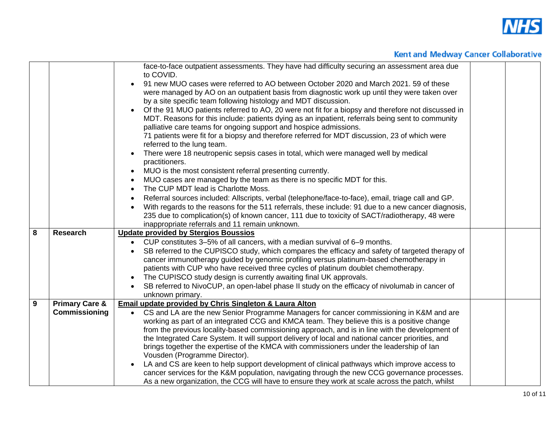

|   |                           | face-to-face outpatient assessments. They have had difficulty securing an assessment area due<br>to COVID.      |  |
|---|---------------------------|-----------------------------------------------------------------------------------------------------------------|--|
|   |                           | 91 new MUO cases were referred to AO between October 2020 and March 2021. 59 of these                           |  |
|   |                           | were managed by AO on an outpatient basis from diagnostic work up until they were taken over                    |  |
|   |                           | by a site specific team following histology and MDT discussion.                                                 |  |
|   |                           | Of the 91 MUO patients referred to AO, 20 were not fit for a biopsy and therefore not discussed in              |  |
|   |                           | MDT. Reasons for this include: patients dying as an inpatient, referrals being sent to community                |  |
|   |                           | palliative care teams for ongoing support and hospice admissions.                                               |  |
|   |                           | 71 patients were fit for a biopsy and therefore referred for MDT discussion, 23 of which were                   |  |
|   |                           | referred to the lung team.                                                                                      |  |
|   |                           | There were 18 neutropenic sepsis cases in total, which were managed well by medical                             |  |
|   |                           | practitioners.                                                                                                  |  |
|   |                           | MUO is the most consistent referral presenting currently.<br>$\bullet$                                          |  |
|   |                           | MUO cases are managed by the team as there is no specific MDT for this.<br>$\bullet$                            |  |
|   |                           | The CUP MDT lead is Charlotte Moss.<br>$\bullet$                                                                |  |
|   |                           | Referral sources included: Allscripts, verbal (telephone/face-to-face), email, triage call and GP.<br>$\bullet$ |  |
|   |                           | With regards to the reasons for the 511 referrals, these include: 91 due to a new cancer diagnosis,             |  |
|   |                           | $\bullet$                                                                                                       |  |
|   |                           | 235 due to complication(s) of known cancer, 111 due to toxicity of SACT/radiotherapy, 48 were                   |  |
| 8 | <b>Research</b>           | inappropriate referrals and 11 remain unknown.<br><b>Update provided by Stergios Boussios</b>                   |  |
|   |                           |                                                                                                                 |  |
|   |                           | • CUP constitutes 3-5% of all cancers, with a median survival of 6-9 months.                                    |  |
|   |                           | SB referred to the CUPISCO study, which compares the efficacy and safety of targeted therapy of                 |  |
|   |                           | cancer immunotherapy guided by genomic profiling versus platinum-based chemotherapy in                          |  |
|   |                           | patients with CUP who have received three cycles of platinum doublet chemotherapy.                              |  |
|   |                           | The CUPISCO study design is currently awaiting final UK approvals.                                              |  |
|   |                           | SB referred to NivoCUP, an open-label phase II study on the efficacy of nivolumab in cancer of                  |  |
|   |                           | unknown primary.                                                                                                |  |
| 9 | <b>Primary Care &amp;</b> | Email update provided by Chris Singleton & Laura Alton                                                          |  |
|   | Commissioning             | CS and LA are the new Senior Programme Managers for cancer commissioning in K&M and are<br>$\bullet$            |  |
|   |                           | working as part of an integrated CCG and KMCA team. They believe this is a positive change                      |  |
|   |                           | from the previous locality-based commissioning approach, and is in line with the development of                 |  |
|   |                           | the Integrated Care System. It will support delivery of local and national cancer priorities, and               |  |
|   |                           | brings together the expertise of the KMCA with commissioners under the leadership of lan                        |  |
|   |                           | Vousden (Programme Director).                                                                                   |  |
|   |                           | LA and CS are keen to help support development of clinical pathways which improve access to                     |  |
|   |                           | cancer services for the K&M population, navigating through the new CCG governance processes.                    |  |
|   |                           | As a new organization, the CCG will have to ensure they work at scale across the patch, whilst                  |  |